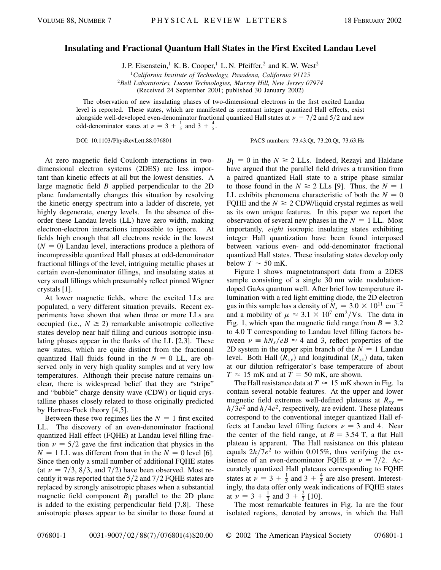## **Insulating and Fractional Quantum Hall States in the First Excited Landau Level**

J. P. Eisenstein,<sup>1</sup> K. B. Cooper,<sup>1</sup> L. N. Pfeiffer,<sup>2</sup> and K. W. West<sup>2</sup>

<sup>1</sup>*California Institute of Technology, Pasadena, California 91125* <sup>2</sup>*Bell Laboratories, Lucent Technologies, Murray Hill, New Jersey 07974* (Received 24 September 2001; published 30 January 2002)

The observation of new insulating phases of two-dimensional electrons in the first excited Landau level is reported. These states, which are manifested as reentrant integer quantized Hall effects, exist alongside well-developed even-denominator fractional quantized Hall states at  $\nu = \frac{7}{2}$  and  $\frac{5}{2}$  and new odd-denominator states at  $\nu = 3 + \frac{1}{5}$  and  $3 + \frac{4}{5}$ .

DOI: 10.1103/PhysRevLett.88.076801 PACS numbers: 73.43.Qt, 73.20.Qt, 73.63.Hs

At zero magnetic field Coulomb interactions in twodimensional electron systems (2DES) are less important than kinetic effects at all but the lowest densities. A large magnetic field *B* applied perpendicular to the 2D plane fundamentally changes this situation by resolving the kinetic energy spectrum into a ladder of discrete, yet highly degenerate, energy levels. In the absence of disorder these Landau levels (LL) have zero width, making electron-electron interactions impossible to ignore. At fields high enough that all electrons reside in the lowest  $(N = 0)$  Landau level, interactions produce a plethora of incompressible quantized Hall phases at odd-denominator fractional fillings of the level, intriguing metallic phases at certain even-denominator fillings, and insulating states at very small fillings which presumably reflect pinned Wigner crystals [1].

At lower magnetic fields, where the excited LLs are populated, a very different situation prevails. Recent experiments have shown that when three or more LLs are occupied (i.e.,  $N \ge 2$ ) remarkable anisotropic collective states develop near half filling and curious isotropic insulating phases appear in the flanks of the LL [2,3]. These new states, which are quite distinct from the fractional quantized Hall fluids found in the  $N = 0$  LL, are observed only in very high quality samples and at very low temperatures. Although their precise nature remains unclear, there is widespread belief that they are "stripe" and "bubble" charge density wave (CDW) or liquid crystalline phases closely related to those originally predicted by Hartree-Fock theory [4,5].

Between these two regimes lies the  $N = 1$  first excited LL. The discovery of an even-denominator fractional quantized Hall effect (FQHE) at Landau level filling fraction  $\nu = 5/2$  gave the first indication that physics in the  $N = 1$  LL was different from that in the  $N = 0$  level [6]. Since then only a small number of additional FQHE states (at  $\nu = \frac{7}{3}$ ,  $\frac{8}{3}$ , and  $\frac{7}{2}$ ) have been observed. Most recently it was reported that the  $5/2$  and  $7/2$  FQHE states are replaced by strongly anisotropic phases when a substantial magnetic field component  $B_{\parallel}$  parallel to the 2D plane is added to the existing perpendicular field [7,8]. These anisotropic phases appear to be similar to those found at  $B_{\parallel} = 0$  in the  $N \ge 2$  LLs. Indeed, Rezayi and Haldane have argued that the parallel field drives a transition from a paired quantized Hall state to a stripe phase similar to those found in the  $N \ge 2$  LLs [9]. Thus, the  $N = 1$ LL exhibits phenomena characteristic of both the  $N = 0$ FQHE and the  $N \ge 2$  CDW/liquid crystal regimes as well as its own unique features. In this paper we report the observation of several new phases in the  $N = 1$  LL. Most importantly, *eight* isotropic insulating states exhibiting integer Hall quantization have been found interposed between various even- and odd-denominator fractional quantized Hall states. These insulating states develop only below  $T \sim 50$  mK.

Figure 1 shows magnetotransport data from a 2DES sample consisting of a single 30 nm wide modulationdoped GaAs quantum well. After brief low temperature illumination with a red light emitting diode, the 2D electron gas in this sample has a density of  $N_s = 3.0 \times 10^{11}$  cm<sup>-2</sup> and a mobility of  $\mu \approx 3.1 \times 10^7 \text{ cm}^2/\text{Vs}$ . The data in Fig. 1, which span the magnetic field range from  $B = 3.2$ to 4.0 T corresponding to Landau level filling factors between  $\nu = hN_s/eB \approx 4$  and 3, reflect properties of the 2D system in the upper spin branch of the  $N = 1$  Landau level. Both Hall  $(R_{xy})$  and longitudinal  $(R_{xx})$  data, taken at our dilution refrigerator's base temperature of about  $T \approx 15$  mK and at  $T = 50$  mK, are shown.

The Hall resistance data at  $T \approx 15 \text{ mK}$  shown in Fig. 1a contain several notable features. At the upper and lower magnetic field extremes well-defined plateaus at  $R_{xy}$  =  $h/3e^2$  and  $h/4e^2$ , respectively, are evident. These plateaus correspond to the conventional integer quantized Hall effects at Landau level filling factors  $\nu = 3$  and 4. Near the center of the field range, at  $B = 3.54$  T, a flat Hall plateau is apparent. The Hall resistance on this plateau equals  $2h/7e^2$  to within 0.015%, thus verifying the existence of an even-denominator FQHE at  $\nu = 7/2$ . Accurately quantized Hall plateaus corresponding to FQHE states at  $\nu = 3 + \frac{1}{5}$  and  $3 + \frac{4}{5}$  are also present. Interestingly, the data offer only weak indications of FQHE states at  $\nu = 3 + \frac{1}{3}$  and  $3 + \frac{2}{3}$  [10].

The most remarkable features in Fig. 1a are the four isolated regions, denoted by arrows, in which the Hall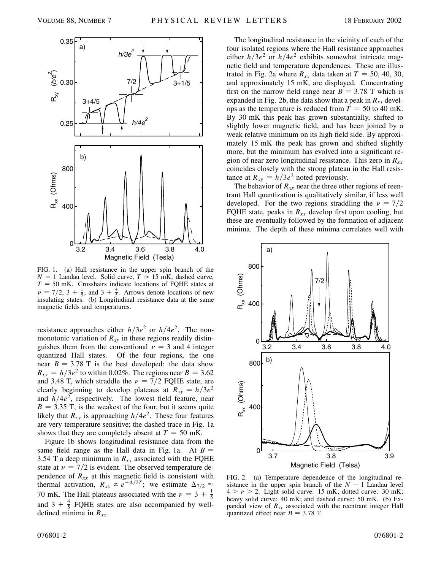

FIG. 1. (a) Hall resistance in the upper spin branch of the  $N = 1$  Landau level. Solid curve,  $T \approx 15$  mK; dashed curve,  $T = 50$  mK. Crosshairs indicate locations of FQHE states at  $\nu = 7/2$ ,  $3 + \frac{1}{5}$ , and  $3 + \frac{4}{5}$ . Arrows denote locations of new insulating states. (b) Longitudinal resistance data at the same magnetic fields and temperatures.

resistance approaches either  $h/3e^2$  or  $h/4e^2$ . The nonmonotonic variation of  $R_{xy}$  in these regions readily distinguishes them from the conventional  $\nu = 3$  and 4 integer quantized Hall states. Of the four regions, the one near  $B = 3.78$  T is the best developed; the data show  $R_{xy} = h/3e^2$  to within 0.02%. The regions near  $B = 3.62$ and 3.48 T, which straddle the  $\nu = \frac{7}{2}$  FQHE state, are clearly beginning to develop plateaus at  $R_{xy} = h/3e^2$ and  $h/4e^2$ , respectively. The lowest field feature, near  $B = 3.35$  T, is the weakest of the four, but it seems quite likely that  $R_{xy}$  is approaching  $h/4e^2$ . These four features are very temperature sensitive; the dashed trace in Fig. 1a shows that they are completely absent at  $T = 50$  mK.

Figure 1b shows longitudinal resistance data from the same field range as the Hall data in Fig. 1a. At  $B =$ 3.54 T a deep minimum in  $R_{xx}$  associated with the FQHE state at  $\nu = \frac{7}{2}$  is evident. The observed temperature dependence of  $R_{xx}$  at this magnetic field is consistent with thermal activation,  $R_{xx} \propto e^{-\Delta/2T}$ ; we estimate  $\Delta_{7/2} \approx$ 70 mK. The Hall plateaus associated with the  $\nu = 3 + \frac{1}{5}$ and  $3 + \frac{4}{5}$  FQHE states are also accompanied by welldefined minima in  $R_{xx}$ .

The longitudinal resistance in the vicinity of each of the four isolated regions where the Hall resistance approaches either  $h/3e^2$  or  $h/4e^2$  exhibits somewhat intricate magnetic field and temperature dependences. These are illustrated in Fig. 2a where  $R_{xx}$  data taken at  $T = 50, 40, 30,$ and approximately 15 mK, are displayed. Concentrating first on the narrow field range near  $B = 3.78$  T which is expanded in Fig. 2b, the data show that a peak in  $R_{xx}$  develops as the temperature is reduced from  $T = 50$  to 40 mK. By 30 mK this peak has grown substantially, shifted to slightly lower magnetic field, and has been joined by a weak relative minimum on its high field side. By approximately 15 mK the peak has grown and shifted slightly more, but the minimum has evolved into a significant region of near zero longitudinal resistance. This zero in *Rxx* coincides closely with the strong plateau in the Hall resistance at  $R_{xy} = h/3e^2$  noted previously.

The behavior of  $R_{xx}$  near the three other regions of reentrant Hall quantization is qualitatively similar, if less well developed. For the two regions straddling the  $\nu = \frac{7}{2}$ FQHE state, peaks in  $R_{xx}$  develop first upon cooling, but these are eventually followed by the formation of adjacent minima. The depth of these minima correlates well with



FIG. 2. (a) Temperature dependence of the longitudinal resistance in the upper spin branch of the  $N = 1$  Landau level  $4 > \nu > 2$ . Light solid curve: 15 mK; dotted curve: 30 mK; heavy solid curve: 40 mK; and dashed curve: 50 mK. (b) Expanded view of *Rxx* associated with the reentrant integer Hall quantized effect near  $B = 3.78$  T.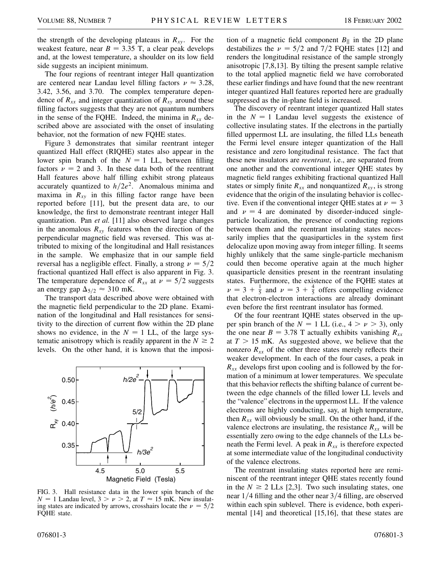the strength of the developing plateaus in  $R_{xy}$ . For the weakest feature, near  $B = 3.35$  T, a clear peak develops and, at the lowest temperature, a shoulder on its low field side suggests an incipient minimum.

The four regions of reentrant integer Hall quantization are centered near Landau level filling factors  $\nu \approx 3.28$ , 3.42, 3.56, and 3.70. The complex temperature dependence of  $R_{xx}$  and integer quantization of  $R_{xy}$  around these filling factors suggests that they are not quantum numbers in the sense of the FQHE. Indeed, the minima in  $R_{xx}$  described above are associated with the onset of insulating behavior, not the formation of new FQHE states.

Figure 3 demonstrates that similar reentrant integer quantized Hall effect (RIQHE) states also appear in the lower spin branch of the  $N = 1$  LL, between filling factors  $\nu = 2$  and 3. In these data both of the reentrant Hall features above half filling exhibit strong plateaus accurately quantized to  $h/2e^2$ . Anomalous minima and maxima in  $R_{xy}$  in this filling factor range have been reported before [11], but the present data are, to our knowledge, the first to demonstrate reentrant integer Hall quantization. Pan *et al.* [11] also observed large changes in the anomalous  $R_{xy}$  features when the direction of the perpendicular magnetic field was reversed. This was attributed to mixing of the longitudinal and Hall resistances in the sample. We emphasize that in our sample field reversal has a negligible effect. Finally, a strong  $\nu = 5/2$ fractional quantized Hall effect is also apparent in Fig. 3. The temperature dependence of  $R_{xx}$  at  $\nu = 5/2$  suggests an energy gap  $\Delta_{5/2} \approx 310$  mK.

The transport data described above were obtained with the magnetic field perpendicular to the 2D plane. Examination of the longitudinal and Hall resistances for sensitivity to the direction of current flow within the 2D plane shows no evidence, in the  $N = 1$  LL, of the large systematic anisotropy which is readily apparent in the  $N \ge 2$ levels. On the other hand, it is known that the imposi-



FIG. 3. Hall resistance data in the lower spin branch of the  $N = 1$  Landau level,  $3 > \nu > 2$ , at  $T \approx 15$  mK. New insulating states are indicated by arrows, crosshairs locate the  $\nu = 5/2$ FQHE state.

tion of a magnetic field component  $B_{\parallel}$  in the 2D plane destabilizes the  $\nu = 5/2$  and  $7/2$  FQHE states [12] and renders the longitudinal resistance of the sample strongly anisotropic [7,8,13]. By tilting the present sample relative to the total applied magnetic field we have corroborated these earlier findings and have found that the new reentrant integer quantized Hall features reported here are gradually suppressed as the in-plane field is increased.

The discovery of reentrant integer quantized Hall states in the  $N = 1$  Landau level suggests the existence of collective insulating states. If the electrons in the partially filled uppermost LL are insulating, the filled LLs beneath the Fermi level ensure integer quantization of the Hall resistance and zero longitudinal resistance. The fact that these new insulators are *reentrant*, i.e., are separated from one another and the conventional integer QHE states by magnetic field ranges exhibiting fractional quantized Hall states or simply finite  $R_{xx}$  and nonquantized  $R_{xy}$ , is strong evidence that the origin of the insulating behavior is collective. Even if the conventional integer QHE states at  $\nu = 3$ and  $\nu = 4$  are dominated by disorder-induced singleparticle localization, the presence of conducting regions between them and the reentrant insulating states necessarily implies that the quasiparticles in the system first delocalize upon moving away from integer filling. It seems highly unlikely that the same single-particle mechanism could then become operative again at the much higher quasiparticle densities present in the reentrant insulating states. Furthermore, the existence of the FQHE states at  $\nu = 3 + \frac{1}{5}$  and  $\nu = 3 + \frac{4}{5}$  offers compelling evidence that electron-electron interactions are already dominant even before the first reentrant insulator has formed.

Of the four reentrant IQHE states observed in the upper spin branch of the  $N = 1$  LL (i.e.,  $4 > \nu > 3$ ), only the one near  $B = 3.78$  T actually exhibits vanishing  $R_{xx}$ at  $T > 15$  mK. As suggested above, we believe that the nonzero  $R_{xx}$  of the other three states merely reflects their weaker development. In each of the four cases, a peak in *Rxx* develops first upon cooling and is followed by the formation of a minimum at lower temperatures. We speculate that this behavior reflects the shifting balance of current between the edge channels of the filled lower LL levels and the "valence" electrons in the uppermost LL. If the valence electrons are highly conducting, say, at high temperature, then  $R_{xx}$  will obviously be small. On the other hand, if the valence electrons are insulating, the resistance  $R_{xx}$  will be essentially zero owing to the edge channels of the LLs beneath the Fermi level. A peak in  $R_{xx}$  is therefore expected at some intermediate value of the longitudinal conductivity of the valence electrons.

The reentrant insulating states reported here are reminiscent of the reentrant integer QHE states recently found in the  $N \ge 2$  LLs [2,3]. Two such insulating states, one near  $1/4$  filling and the other near  $3/4$  filling, are observed within each spin sublevel. There is evidence, both experimental [14] and theoretical [15,16], that these states are